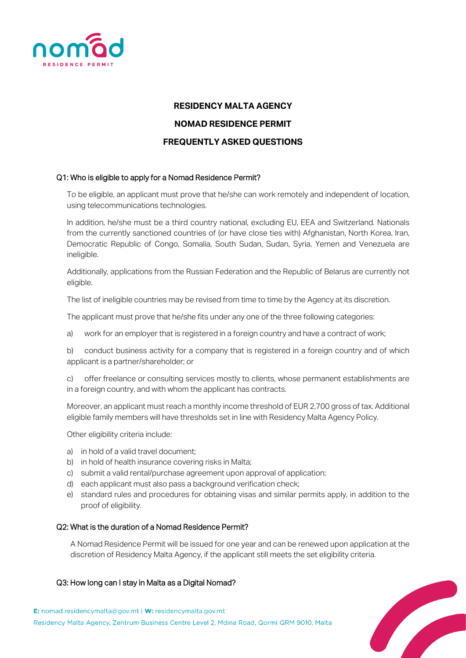

# **RESIDENCY MALTA AGENCY NOMAD RESIDENCE PERMIT FREQUENTLY ASKED QUESTIONS**

## Q1: Who is eligible to apply for a Nomad Residence Permit?

To be eligible, an applicant must prove that he/she can work remotely and independent of location, using telecommunications technologies.

In addition, he/she must be a third country national, excluding EU, EEA and Switzerland. Nationals from the currently sanctioned countries of (or have close ties with) Afghanistan, North Korea, Iran, Democratic Republic of Congo, Somalia, South Sudan, Sudan, Syria, Yemen and Venezuela are ineligible.

Additionally, applications from the Russian Federation and the Republic of Belarus are currently not eligible.

The list of ineligible countries may be revised from time to time by the Agency at its discretion.

The applicant must prove that he/she fits under any one of the three following categories:

a) work for an employer that is registered in a foreign country and have a contract of work;

b) conduct business activity for a company that is registered in a foreign country and of which applicant is a partner/shareholder; or

c) offer freelance or consulting services mostly to clients, whose permanent establishments are in a foreign country, and with whom the applicant has contracts.

Moreover, an applicant must reach a monthly income threshold of EUR 2,700 gross of tax. Additional eligible family members will have thresholds set in line with Residency Malta Agency Policy.

Other eligibility criteria include:

- a) in hold of a valid travel document;
- b) in hold of health insurance covering risks in Malta;
- c) submit a valid rental/purchase agreement upon approval of application;
- d) each applicant must also pass a background verification check;
- e) standard rules and procedures for obtaining visas and similar permits apply, in addition to the proof of eligibility.

#### Q2: What is the duration of a Nomad Residence Permit?

A Nomad Residence Permit will be issued for one year and can be renewed upon application at the discretion of Residency Malta Agency, if the applicant still meets the set eligibility criteria.

#### Q3: How long can I stay in Malta as a Digital Nomad?

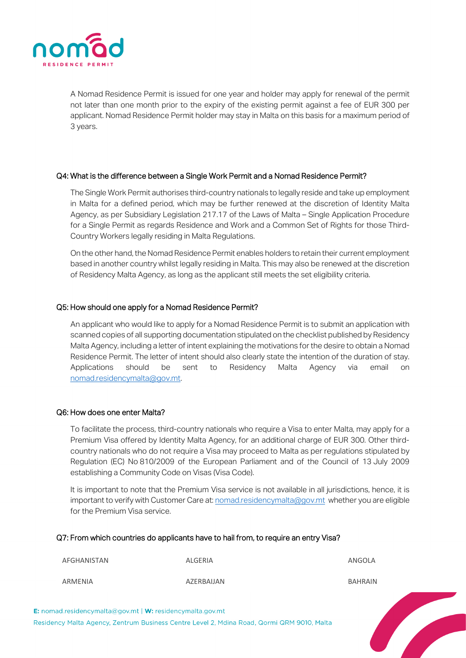

A Nomad Residence Permit is issued for one year and holder may apply for renewal of the permit not later than one month prior to the expiry of the existing permit against a fee of EUR 300 per applicant. Nomad Residence Permit holder may stay in Malta on this basis for a maximum period of 3 years.

#### Q4: What is the difference between a Single Work Permit and a Nomad Residence Permit?

The Single Work Permit authorises third-country nationals to legally reside and take up employment in Malta for a defined period, which may be further renewed at the discretion of Identity Malta Agency, as per Subsidiary Legislation 217.17 of the Laws of Malta – Single Application Procedure for a Single Permit as regards Residence and Work and a Common Set of Rights for those Third-Country Workers legally residing in Malta Regulations.

On the other hand, the Nomad Residence Permit enables holders to retain their current employment based in another country whilst legally residing in Malta. This may also be renewed at the discretion of Residency Malta Agency, as long as the applicant still meets the set eligibility criteria.

#### Q5: How should one apply for a Nomad Residence Permit?

An applicant who would like to apply for a Nomad Residence Permit is to submit an application with scanned copies of all supporting documentation stipulated on the checklist published by Residency Malta Agency, including a letter of intent explaining the motivations for the desire to obtain a Nomad Residence Permit. The letter of intent should also clearly state the intention of the duration of stay. Applications should be sent to Residency Malta Agency via email on [nomad.residencymalta@gov.mt.](mailto:nomad.residencymalta@gov.mt) 

#### Q6: How does one enter Malta?

To facilitate the process, third-country nationals who require a Visa to enter Malta, may apply for a Premium Visa offered by Identity Malta Agency, for an additional charge of EUR 300. Other thirdcountry nationals who do not require a Visa may proceed to Malta as per regulations stipulated by Regulation (EC) No 810/2009 of the European Parliament and of the Council of 13 July 2009 establishing a Community Code on Visas (Visa Code).

It is important to note that the Premium Visa service is not available in all jurisdictions, hence, it is important to verify with Customer Care at: [nomad.residencymalta@gov.mt](mailto:nomad.residencymalta@gov.mt) whether you are eligible for the Premium Visa service.

**Contract Contract Contract Contract Contract Contract Contract Contract Contract Contract Contract Contract Contract Contract Contract Contract Contract Contract Contract Contract Contract Contract Contract Contract Contr** 

#### Q7: From which countries do applicants have to hail from, to require an entry Visa?

AFGHANISTAN ALGERIA ANGOLA ARMENIA AZERBAIJAN BAHRAIN

E: nomad.residencymalta@gov.mt | W: residencymalta.gov.mt Residency Malta Agency, Zentrum Business Centre Level 2, Mdina Road, Qormi QRM 9010, Malta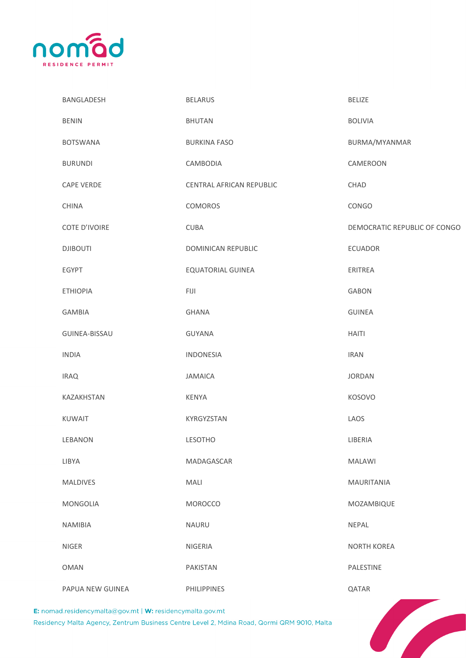

| BANGLADESH                                                                                                                                | <b>BELARUS</b>           | <b>BELIZE</b>                |  |  |
|-------------------------------------------------------------------------------------------------------------------------------------------|--------------------------|------------------------------|--|--|
| <b>BENIN</b>                                                                                                                              | <b>BHUTAN</b>            | <b>BOLIVIA</b>               |  |  |
| <b>BOTSWANA</b>                                                                                                                           | <b>BURKINA FASO</b>      | BURMA/MYANMAR                |  |  |
| <b>BURUNDI</b>                                                                                                                            | CAMBODIA                 | CAMEROON                     |  |  |
| <b>CAPE VERDE</b>                                                                                                                         | CENTRAL AFRICAN REPUBLIC | CHAD                         |  |  |
| <b>CHINA</b>                                                                                                                              | COMOROS                  | CONGO                        |  |  |
| COTE D'IVOIRE                                                                                                                             | <b>CUBA</b>              | DEMOCRATIC REPUBLIC OF CONGO |  |  |
| <b>DJIBOUTI</b>                                                                                                                           | DOMINICAN REPUBLIC       | ECUADOR                      |  |  |
| EGYPT                                                                                                                                     | <b>EQUATORIAL GUINEA</b> | ERITREA                      |  |  |
| <b>ETHIOPIA</b>                                                                                                                           | <b>FIJI</b>              | <b>GABON</b>                 |  |  |
| GAMBIA                                                                                                                                    | <b>GHANA</b>             | <b>GUINEA</b>                |  |  |
| GUINEA-BISSAU                                                                                                                             | <b>GUYANA</b>            | <b>HAITI</b>                 |  |  |
| <b>INDIA</b>                                                                                                                              | <b>INDONESIA</b>         | <b>IRAN</b>                  |  |  |
| <b>IRAQ</b>                                                                                                                               | <b>JAMAICA</b>           | <b>JORDAN</b>                |  |  |
| KAZAKHSTAN                                                                                                                                | KENYA                    | <b>KOSOVO</b>                |  |  |
| <b>KUWAIT</b>                                                                                                                             | KYRGYZSTAN               | LAOS                         |  |  |
| LEBANON                                                                                                                                   | <b>LESOTHO</b>           | LIBERIA                      |  |  |
| LIBYA                                                                                                                                     | MADAGASCAR               | <b>MALAWI</b>                |  |  |
| <b>MALDIVES</b>                                                                                                                           | MALI                     | MAURITANIA                   |  |  |
| MONGOLIA                                                                                                                                  | MOROCCO                  | MOZAMBIQUE                   |  |  |
| <b>NAMIBIA</b>                                                                                                                            | NAURU                    | NEPAL                        |  |  |
| NIGER                                                                                                                                     | <b>NIGERIA</b>           | <b>NORTH KOREA</b>           |  |  |
| <b>OMAN</b>                                                                                                                               | PAKISTAN                 | PALESTINE                    |  |  |
| PAPUA NEW GUINEA                                                                                                                          | PHILIPPINES              | QATAR                        |  |  |
| d.residencymalta@gov.mt   W: residencymalta.gov.mt<br>cy Malta Agency, Zentrum Business Centre Level 2, Mdina Road, Qormi QRM 9010, Malta |                          |                              |  |  |

E: nomad.residencymalta@gov.mt | W: residencymalta.gov.mt

Residency Malta Agency, Zentrum Business Centre Level 2, Mdina Road, Qormi QRM 9010, Malta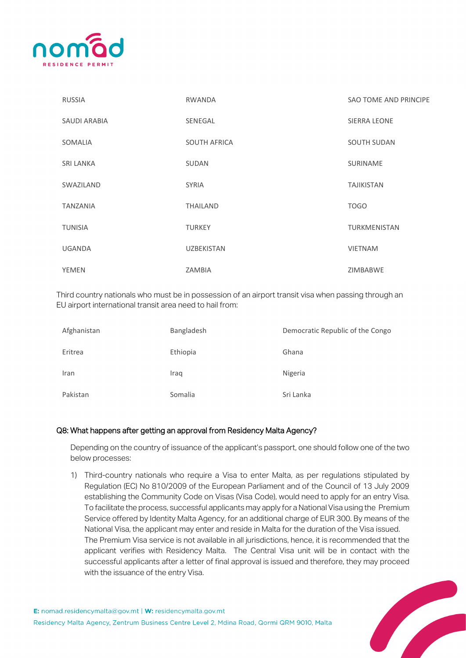

| <b>RUSSIA</b>       | <b>RWANDA</b>       | SAO TOME AND PRINCIPE |
|---------------------|---------------------|-----------------------|
| <b>SAUDI ARABIA</b> | SENEGAL             | <b>SIERRA LEONE</b>   |
| SOMALIA             | <b>SOUTH AFRICA</b> | <b>SOUTH SUDAN</b>    |
| <b>SRI LANKA</b>    | <b>SUDAN</b>        | <b>SURINAME</b>       |
| SWAZILAND           | <b>SYRIA</b>        | <b>TAJIKISTAN</b>     |
| <b>TANZANIA</b>     | <b>THAILAND</b>     | <b>TOGO</b>           |
| <b>TUNISIA</b>      | <b>TURKEY</b>       | TURKMENISTAN          |
| <b>UGANDA</b>       | <b>UZBEKISTAN</b>   | <b>VIETNAM</b>        |
| <b>YEMEN</b>        | ZAMBIA              | ZIMBABWE              |

Third country nationals who must be in possession of an airport transit visa when passing through an EU airport international transit area need to hail from:

| Afghanistan | Bangladesh | Democratic Republic of the Congo |
|-------------|------------|----------------------------------|
| Eritrea     | Ethiopia   | Ghana                            |
| Iran        | Iraq       | Nigeria                          |
| Pakistan    | Somalia    | Sri Lanka                        |

#### Q8: What happens after getting an approval from Residency Malta Agency?

Depending on the country of issuance of the applicant's passport, one should follow one of the two below processes:

1) Third-country nationals who require a Visa to enter Malta, as per regulations stipulated by Regulation (EC) No 810/2009 of the European Parliament and of the Council of 13 July 2009 establishing the Community Code on Visas (Visa Code), would need to apply for an entry Visa. To facilitate the process, successful applicants may apply for a National Visa using the Premium Service offered by Identity Malta Agency, for an additional charge of EUR 300. By means of the National Visa, the applicant may enter and reside in Malta for the duration of the Visa issued. The Premium Visa service is not available in all jurisdictions, hence, it is recommended that the applicant verifies with Residency Malta. The Central Visa unit will be in contact with the successful applicants after a letter of final approval is issued and therefore, they may proceed with the issuance of the entry Visa.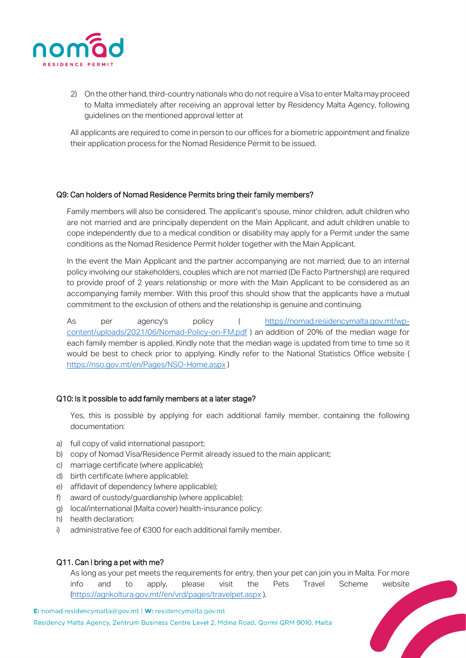

2) On the other hand, third-country nationals who do not require a Visa to enter Malta may proceed to Malta immediately after receiving an approval letter by Residency Malta Agency, following guidelines on the mentioned approval letter at

All applicants are required to come in person to our offices for a biometric appointment and finalize their application process for the Nomad Residence Permit to be issued.

## Q9: Can holders of Nomad Residence Permits bring their family members?

Family members will also be considered. The applicant's spouse, minor children, adult children who are not married and are principally dependent on the Main Applicant, and adult children unable to cope independently due to a medical condition or disability may apply for a Permit under the same conditions as the Nomad Residence Permit holder together with the Main Applicant.

In the event the Main Applicant and the partner accompanying are not married; due to an internal policy involving our stakeholders, couples which are not married (De Facto Partnership) are required to provide proof of 2 years relationship or more with the Main Applicant to be considered as an accompanying family member. With this proof this should show that the applicants have a mutual commitment to the exclusion of others and the relationship is genuine and continuing.

As per agency's policy ( [https://nomad.residencymalta.gov.mt/wp](https://nomad.residencymalta.gov.mt/wp-content/uploads/2021/06/Nomad-Policy-on-FM.pdf)[content/uploads/2021/06/Nomad-Policy-on-FM.pdf](https://nomad.residencymalta.gov.mt/wp-content/uploads/2021/06/Nomad-Policy-on-FM.pdf) ) an addition of 20% of the median wage for each family member is applied. Kindly note that the median wage is updated from time to time so it would be best to check prior to applying. Kindly refer to the National Statistics Office website ( <https://nso.gov.mt/en/Pages/NSO-Home.aspx> )

#### Q10: Is it possible to add family members at a later stage?

Yes, this is possible by applying for each additional family member, containing the following documentation:

- a) full copy of valid international passport;
- b) copy of Nomad Visa/Residence Permit already issued to the main applicant;
- c) marriage certificate (where applicable);
- d) birth certificate (where applicable);
- e) affidavit of dependency (where applicable);
- f) award of custody/guardianship (where applicable);
- g) local/international (Malta cover) health-insurance policy;
- h) health declaration;
- i) administrative fee of €300 for each additional family member.

#### Q11. Can I bring a pet with me?

As long as your pet meets the requirements for entry, then your pet can join you in Malta. For more info and to apply, please visit the Pets Travel Scheme website [\(https://agrikoltura.gov.mt//en/vrd/pages/travelpet.aspx](https://agrikoltura.gov.mt/en/vrd/pages/travelpet.aspx) ).

E: nomad.residencymalta@gov.mt | W: residencymalta.gov.mt Residency Malta Agency, Zentrum Business Centre Level 2, Mdina Road, Qormi QRM 9010, Malta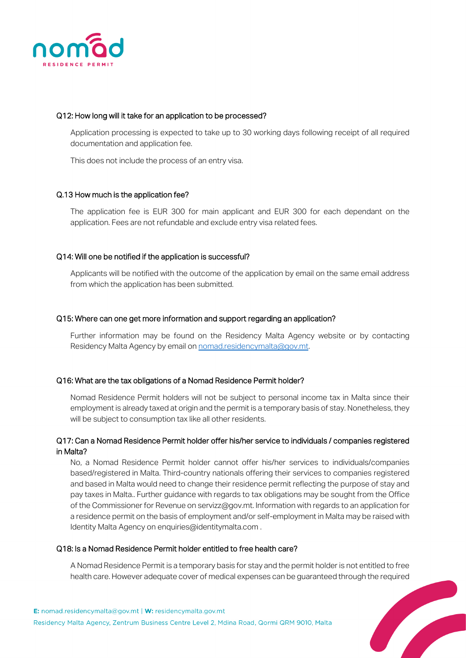

#### Q12: How long will it take for an application to be processed?

Application processing is expected to take up to 30 working days following receipt of all required documentation and application fee.

This does not include the process of an entry visa.

#### Q.13 How much is the application fee?

The application fee is EUR 300 for main applicant and EUR 300 for each dependant on the application. Fees are not refundable and exclude entry visa related fees.

#### Q14: Will one be notified if the application is successful?

Applicants will be notified with the outcome of the application by email on the same email address from which the application has been submitted.

#### Q15: Where can one get more information and support regarding an application?

Further information may be found on the Residency Malta Agency website or by contacting Residency Malta Agency by email on nomad.residencymalta@gov.mt.

#### Q16: What are the tax obligations of a Nomad Residence Permit holder?

Nomad Residence Permit holders will not be subject to personal income tax in Malta since their employment is already taxed at origin and the permit is a temporary basis of stay. Nonetheless, they will be subject to consumption tax like all other residents.

## Q17: Can a Nomad Residence Permit holder offer his/her service to individuals / companies registered in Malta?

No, a Nomad Residence Permit holder cannot offer his/her services to individuals/companies based/registered in Malta. Third-country nationals offering their services to companies registered and based in Malta would need to change their residence permit reflecting the purpose of stay and pay taxes in Malta.. Further guidance with regards to tax obligations may be sought from the Office of the Commissioner for Revenue on servizz@gov.mt. Information with regards to an application for a residence permit on the basis of employment and/or self-employment in Malta may be raised with Identity Malta Agency on enquiries@identitymalta.com.

#### Q18: Is a Nomad Residence Permit holder entitled to free health care?

A Nomad Residence Permit is a temporary basis for stay and the permit holder is not entitled to free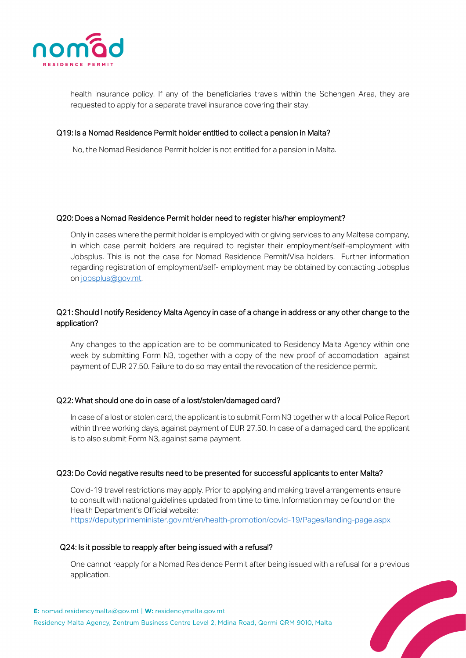

health insurance policy. If any of the beneficiaries travels within the Schengen Area, they are requested to apply for a separate travel insurance covering their stay.

#### Q19: Is a Nomad Residence Permit holder entitled to collect a pension in Malta?

No, the Nomad Residence Permit holder is not entitled for a pension in Malta.

#### Q20: Does a Nomad Residence Permit holder need to register his/her employment?

Only in cases where the permit holder is employed with or giving services to any Maltese company, in which case permit holders are required to register their employment/self-employment with Jobsplus. This is not the case for Nomad Residence Permit/Visa holders. Further information regarding registration of employment/self- employment may be obtained by contacting Jobsplus o[n jobsplus@gov.mt.](mailto:jobsplus@gov.mt)

# Q21: Should I notify Residency Malta Agency in case of a change in address or any other change to the application?

Any changes to the application are to be communicated to Residency Malta Agency within one week by submitting Form N3, together with a copy of the new proof of accomodation against payment of EUR 27.50. Failure to do so may entail the revocation of the residence permit.

#### Q22: What should one do in case of a lost/stolen/damaged card?

In case of a lost or stolen card, the applicant is to submit Form N3 together with a local Police Report within three working days, against payment of EUR 27.50. In case of a damaged card, the applicant is to also submit Form N3, against same payment.

#### Q23: Do Covid negative results need to be presented for successful applicants to enter Malta?

Covid-19 travel restrictions may apply. Prior to applying and making travel arrangements ensure to consult with national guidelines updated from time to time. Information may be found on the Health Department's Official website: <https://deputyprimeminister.gov.mt/en/health-promotion/covid-19/Pages/landing-page.aspx>

## Q24: Is it possible to reapply after being issued with a refusal?

One cannot reapply for a Nomad Residence Permit after being issued with a refusal for a previous application.